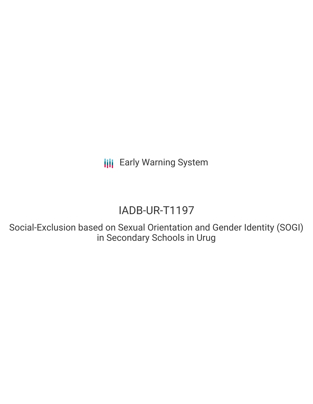**III** Early Warning System

# IADB-UR-T1197

Social-Exclusion based on Sexual Orientation and Gender Identity (SOGI) in Secondary Schools in Urug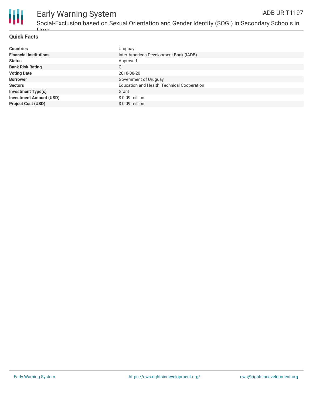

## **Quick Facts**

 $Urrn$ 

| <b>Countries</b>               | Uruguay                                     |
|--------------------------------|---------------------------------------------|
| <b>Financial Institutions</b>  | Inter-American Development Bank (IADB)      |
| <b>Status</b>                  | Approved                                    |
| <b>Bank Risk Rating</b>        | C                                           |
| <b>Voting Date</b>             | 2018-08-20                                  |
| <b>Borrower</b>                | Government of Uruguay                       |
| <b>Sectors</b>                 | Education and Health, Technical Cooperation |
| <b>Investment Type(s)</b>      | Grant                                       |
| <b>Investment Amount (USD)</b> | $$0.09$ million                             |
| <b>Project Cost (USD)</b>      | \$ 0.09 million                             |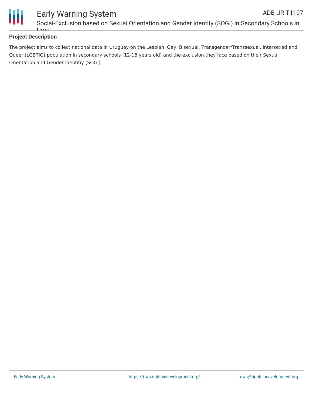

# **Project Description**

Urug

The project aims to collect national data in Uruguay on the Lesbian, Gay, Bisexual, Transgender/Transsexual, Intersexed and Queer (LGBTIQ) population in secondary schools (12-18 years old) and the exclusion they face based on their Sexual Orientation and Gender Identitiy (SOGI).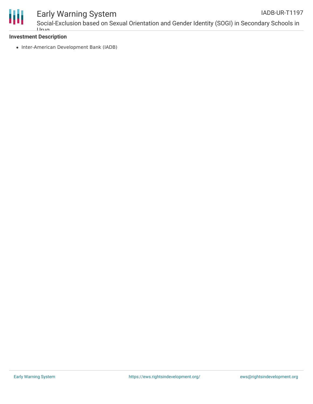

#### Early Warning System Social-Exclusion based on Sexual Orientation and Gender Identity (SOGI) in Secondary Schools in IADB-UR-T1197

## **Investment Description**

 $L$ Irug

• Inter-American Development Bank (IADB)